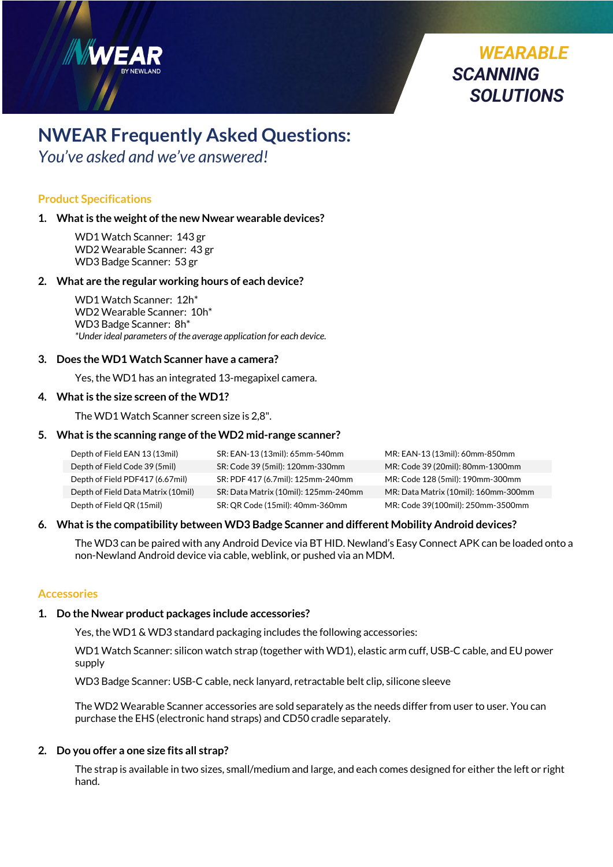

*You've asked and we've answered!* 

## **Product Specifications**

## **1. What is the weight of the new Nwear wearable devices?**

WD1 Watch Scanner: 143 gr WD2 Wearable Scanner: 43 gr WD3 Badge Scanner: 53 gr

## **2. What are the regular working hours of each device?**

WD1 Watch Scanner:12h\* WD2 Wearable Scanner: 10h\* WD3 Badge Scanner:8h\* *\*Under ideal parameters of the average application for each device.* 

## **3. Does the WD1 Watch Scanner have a camera?**

Yes, the WD1 has an integrated 13-megapixel camera.

## **4. What is the size screen ofthe WD1?**

The WD1 Watch Scanner screen size is 2,8".

## **5. What is the scanning range of the WD2 mid-range scanner?**

| Depth of Field EAN 13 (13mil)      | SR: EAN-13 (13mil): 65mm-540mm       | MR: EAN-13 (13mil): 60mm-850mm       |
|------------------------------------|--------------------------------------|--------------------------------------|
| Depth of Field Code 39 (5mil)      | SR: Code 39 (5mil): 120mm-330mm      | MR: Code 39 (20mil): 80mm-1300mm     |
| Depth of Field PDF417 (6.67mil)    | SR: PDF 417 (6.7mil): 125mm-240mm    | MR: Code 128 (5mil): 190mm-300mm     |
| Depth of Field Data Matrix (10mil) | SR: Data Matrix (10mil): 125mm-240mm | MR: Data Matrix (10mil): 160mm-300mm |
| Depth of Field QR (15mil)          | SR: QR Code (15mil): 40mm-360mm      | MR: Code 39(100mil): 250mm-3500mm    |

## **6. What is the compatibility between WD3 Badge Scanner and different Mobility Android devices?**

The WD3 can be paired with any Android Device via BT HID. Newland's Easy Connect APK can be loaded onto a non-Newland Android device via cable, weblink, or pushed via an MDM.

*WEARABLE* 

*SOLUTIONS*

*SCANNING* 

## **Accessories**

## **1. Do the Nwear product packages include accessories?**

Yes, the WD1 & WD3 standard packaging includes the following accessories:

WD1 Watch Scanner: silicon watch strap (together with WD1), elastic arm cuff, USB-C cable, and EU power supply

WD3 Badge Scanner: USB-C cable, neck lanyard, retractable belt clip, silicone sleeve

The WD2 Wearable Scanner accessories are sold separately as the needs differ from user to user. You can purchase the EHS (electronic hand straps) and CD50 cradle separately.

## **2. Do you offer a one size fits all strap?**

The strap is available in two sizes, small/medium and large, and each comes designed for either the left or right hand.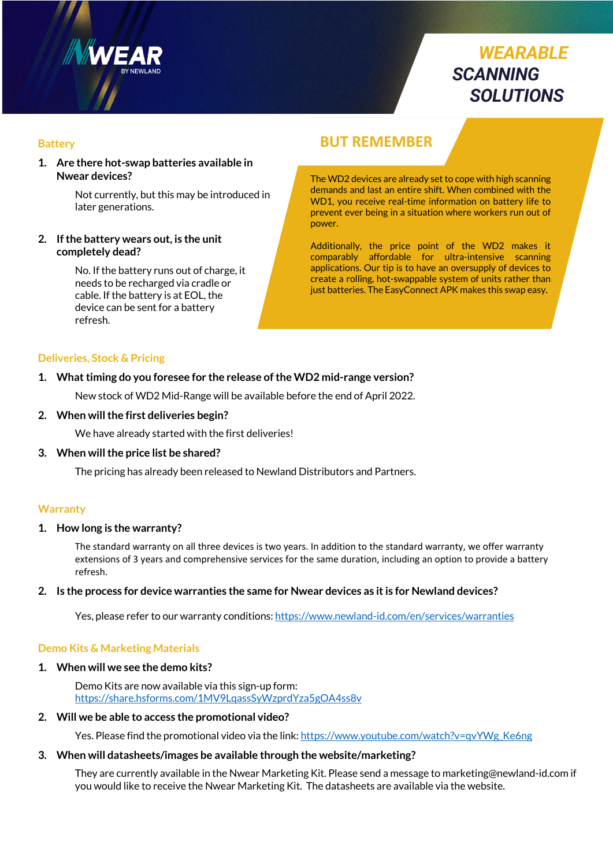

# *WEARABLE SCANNING SOLUTIONS*

#### **Battery**

**1. Are there hot-swap batteries available in Nwear devices?**

> Not currently, but this may be introduced in later generations.

#### **2. If the battery wears out, is the unit completely dead?**

No. If the battery runs out of charge, it needs to be recharged via cradle or cable. If the battery is at EOL, the device can be sent for a battery refresh.

# **BUT REMEMBER**

The WD2 devices are already set to cope with high scanning demands and last an entire shift. When combined with the WD1, you receive real-time information on battery life to prevent ever being in a situation where workers run out of power.

Additionally, the price point of the WD2 makes it comparably affordable for ultra-intensive scanning applications. Our tip is to have an oversupply of devices to create a rolling, hot-swappable system of units rather than just batteries. The EasyConnect APK makes this swap easy.

#### **Deliveries, Stock & Pricing**

#### **1. What timing do you foresee for the release of the WD2 mid-range version?**

New stock of WD2 Mid-Range will be available before the end of April 2022.

#### **2. When will the first deliveries begin?**

We have already started with the first deliveries!

#### **3. When will the price list be shared?**

The pricing has already been released to Newland Distributors and Partners.

#### **Warranty**

#### **1. How long is the warranty?**

The standard warranty on all three devices is two years. In addition to the standard warranty, we offer warranty extensions of 3 years and comprehensive services for the same duration, including an option to provide a battery refresh.

#### **2. Is the process for device warranties the same for Nwear devices as it is for Newland devices?**

Yes, please refer to our warranty conditions: https://www.newland-id.com/en/services/warranties

#### **Demo Kits & Marketing Materials**

#### **1. When will we see the demo kits?**

Demo Kits are now available via this sign-up form: https://share.hsforms.com/1MV9LqassSyWzprdYza5gOA4ss8v

#### **2. Will we be able to access the promotional video?**

Yes. Please find the promotional video via the link: https://www.youtube.com/watch?v=qvYWg\_Ke6ng

#### **3. When will datasheets/images be available through the website/marketing?**

They are currently available in the Nwear Marketing Kit. Please send a message to marketing@newland-id.com if you would like to receive the Nwear Marketing Kit. The datasheets are available via the website.